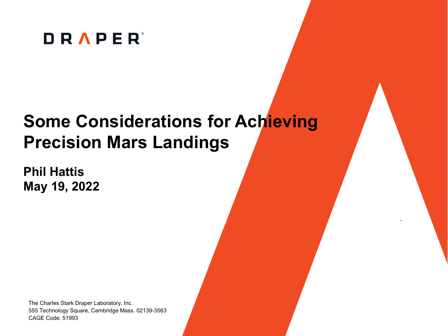

## **Some Considerations for Achieving Precision Mars Landings**

**Phil Hattis May 19, 2022**

The Charles Stark Draper Laboratory, Inc. 555 Technology Square, Cambridge Mass. 02139-3563 CAGE Code: 51993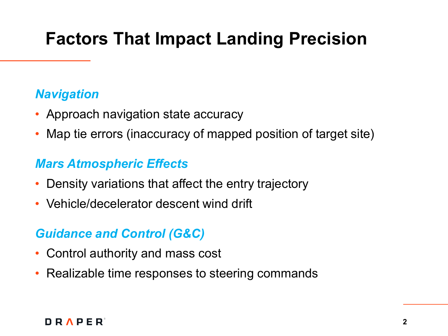# **Factors That Impact Landing Precision**

#### *Navigation*

- Approach navigation state accuracy
- Map tie errors (inaccuracy of mapped position of target site)

#### *Mars Atmospheric Effects*

- Density variations that affect the entry trajectory
- Vehicle/decelerator descent wind drift

### *Guidance and Control (G&C)*

- Control authority and mass cost
- Realizable time responses to steering commands

#### DRAPER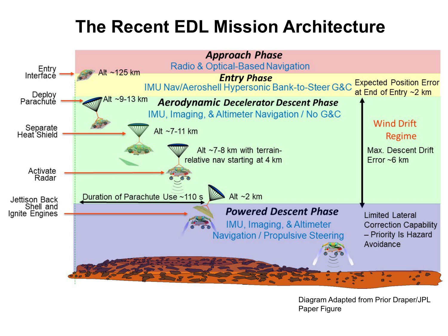# **The Recent EDL Mission Architecture**



Diagram Adapted from Prior Draper/JPL Paper Figure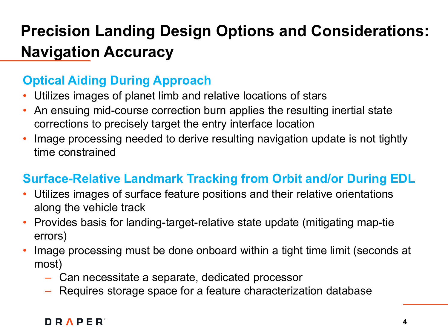## **Precision Landing Design Options and Considerations: Navigation Accuracy**

### **Optical Aiding During Approach**

- Utilizes images of planet limb and relative locations of stars
- An ensuing mid-course correction burn applies the resulting inertial state corrections to precisely target the entry interface location
- Image processing needed to derive resulting navigation update is not tightly time constrained

### **Surface-Relative Landmark Tracking from Orbit and/or During EDL**

- Utilizes images of surface feature positions and their relative orientations along the vehicle track
- Provides basis for landing-target-relative state update (mitigating map-tie errors)
- Image processing must be done onboard within a tight time limit (seconds at most)
	- Can necessitate a separate, dedicated processor
	- Requires storage space for a feature characterization database

#### **DRAPER**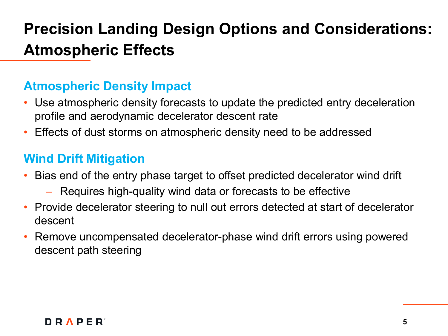### **Precision Landing Design Options and Considerations: Atmospheric Effects**

### **Atmospheric Density Impact**

- Use atmospheric density forecasts to update the predicted entry deceleration profile and aerodynamic decelerator descent rate
- Effects of dust storms on atmospheric density need to be addressed

### **Wind Drift Mitigation**

- Bias end of the entry phase target to offset predicted decelerator wind drift
	- Requires high-quality wind data or forecasts to be effective
- Provide decelerator steering to null out errors detected at start of decelerator descent
- Remove uncompensated decelerator-phase wind drift errors using powered descent path steering